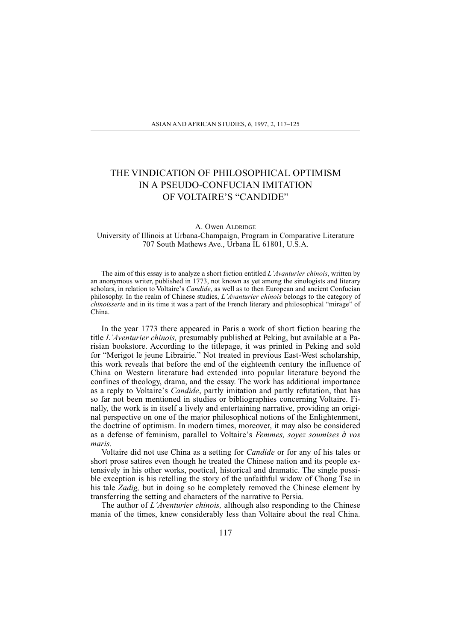## THE VINDICATION OF PHILOSOPHICAL OPTIMISM IN A PSEUDO-CONFUCIAN IMITATION OF VOLTAIRE'S "CANDIDE"

## A. Owen ALDRIDGE University of Illinois at Urbana-Champaign, Program in Comparative Literature 707 South Mathews Ave., Urbana IL 61801, U.S.A.

The aim of this essay is to analyze a short fiction entitled  $L'Avanurier chinois$ , written by an anonymous writer, published in 1773, not known as yet among the sinologists and literary scholars, in relation to Voltaire's *Candide*, as well as to then European and ancient Confucian philosophy. In the realm of Chinese studies,  $L$ 'Avanturier chinois belongs to the category of *chinoisserie* and in its time it was a part of the French literary and philosophical "mirage" of China.

In the year 1773 there appeared in Paris a work of short fiction bearing the title L'Aventurier chinois, presumably published at Peking, but available at a Parisian bookstore. According to the titlepage, it was printed in Peking and sold for "Merigot le jeune Librairie." Not treated in previous East-West scholarship, this work reveals that before the end of the eighteenth century the influence of China on Western literature had extended into popular literature beyond the confines of theology, drama, and the essay. The work has additional importance as a reply to Voltaire's *Candide*, partly imitation and partly refutation, that has so far not been mentioned in studies or bibliographies concerning Voltaire. Finally, the work is in itself a lively and entertaining narrative, providing an original perspective on one of the major philosophical notions of the Enlightenment, the doctrine of optimism. In modern times, moreover, it may also be considered as a defense of feminism, parallel to Voltaire's Femmes, soyez soumises à vos maris.

Voltaire did not use China as a setting for Candide or for any of his tales or short prose satires even though he treated the Chinese nation and its people extensively in his other works, poetical, historical and dramatic. The single possible exception is his retelling the story of the unfaithful widow of Chong Tse in his tale *Zadig*, but in doing so he completely removed the Chinese element by transferring the setting and characters of the narrative to Persia.

The author of  $L'A$ venturier chinois, although also responding to the Chinese mania of the times, knew considerably less than Voltaire about the real China.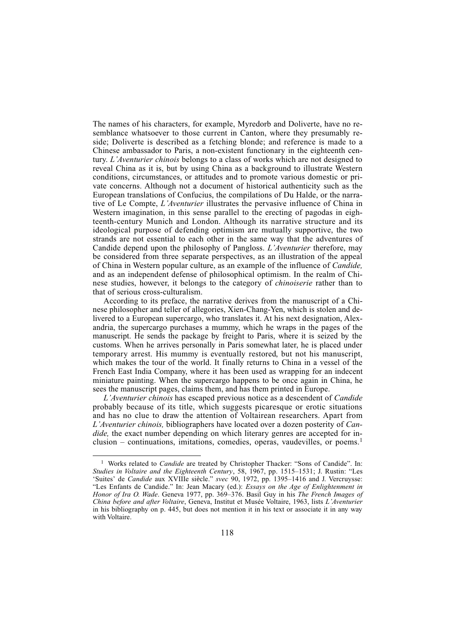The names of his characters, for example, Myredorb and Doliverte, have no resemblance whatsoever to those current in Canton, where they presumably reside; Doliverte is described as a fetching blonde; and reference is made to a Chinese ambassador to Paris, a non-existent functionary in the eighteenth century. L'Aventurier chinois belongs to a class of works which are not designed to reveal China as it is, but by using China as a background to illustrate Western conditions, circumstances, or attitudes and to promote various domestic or private concerns. Although not a document of historical authenticity such as the European translations of Confucius, the compilations of Du Halde, or the narrative of Le Compte, L'Aventurier illustrates the pervasive influence of China in Western imagination, in this sense parallel to the erecting of pagodas in eighteenth-century Munich and London. Although its narrative structure and its ideological purpose of defending optimism are mutually supportive, the two strands are not essential to each other in the same way that the adventures of Candide depend upon the philosophy of Pangloss. L'Aventurier therefore, may be considered from three separate perspectives, as an illustration of the appeal of China in Western popular culture, as an example of the influence of Candide, and as an independent defense of philosophical optimism. In the realm of Chinese studies, however, it belongs to the category of chinoiserie rather than to that of serious cross-culturalism.

According to its preface, the narrative derives from the manuscript of a Chinese philosopher and teller of allegories, Xien-Chang-Yen, which is stolen and delivered to a European supercargo, who translates it. At his next designation, Alexandria, the supercargo purchases a mummy, which he wraps in the pages of the manuscript. He sends the package by freight to Paris, where it is seized by the customs. When he arrives personally in Paris somewhat later, he is placed under temporary arrest. His mummy is eventually restored, but not his manuscript, which makes the tour of the world. It finally returns to China in a vessel of the French East India Company, where it has been used as wrapping for an indecent miniature painting. When the supercargo happens to be once again in China, he sees the manuscript pages, claims them, and has them printed in Europe.

L'Aventurier chinois has escaped previous notice as a descendent of Candide probably because of its title, which suggests picaresque or erotic situations and has no clue to draw the attention of Voltairean researchers. Apart from L'Aventurier chinois, bibliographers have located over a dozen posterity of Candide, the exact number depending on which literary genres are accepted for inclusion  $-$  continuations, imitations, comedies, operas, vaudevilles, or poems.<sup>1</sup>

<sup>&</sup>lt;sup>1</sup> Works related to *Candide* are treated by Christopher Thacker: "Sons of Candide". In: Studies in Voltaire and the Eighteenth Century, 58, 1967, pp. 1515–1531; J. Rustin: "Les 'Suites' de Candide aux XVIIIe siècle." svec 90, 1972, pp. 1395-1416 and J. Vercruysse: "Les Enfants de Candide." In: Jean Macary (ed.): Essays on the Age of Enlightenment in Honor of Ira O. Wade. Geneva 1977, pp. 369-376. Basil Guy in his The French Images of China before and after Voltaire, Geneva, Institut et Musée Voltaire, 1963, lists L'Aventurier in his bibliography on p. 445, but does not mention it in his text or associate it in any way with Voltaire.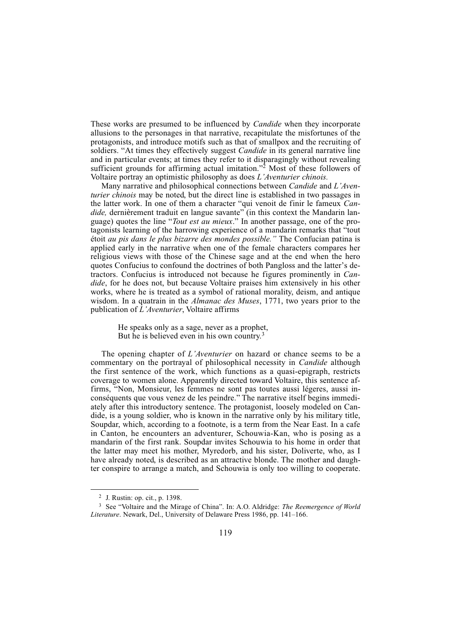These works are presumed to be influenced by *Candide* when they incorporate allusions to the personages in that narrative, recapitulate the misfortunes of the protagonists, and introduce motifs such as that of smallpox and the recruiting of soldiers. "At times they effectively suggest *Candide* in its general narrative line and in particular events; at times they refer to it disparagingly without revealing sufficient grounds for affirming actual imitation."<sup>2</sup> Most of these followers of Voltaire portray an optimistic philosophy as does  $L$ 'Aventurier chinois.

Many narrative and philosophical connections between *Candide* and *L'Aven*turier chinois may be noted, but the direct line is established in two passages in the latter work. In one of them a character "qui venoit de finir le fameux Candide, dernièrement traduit en langue savante" (in this context the Mandarin language) quotes the line "Tout est au mieux." In another passage, one of the protagonists learning of the harrowing experience of a mandarin remarks that "tout étoit au pis dans le plus bizarre des mondes possible." The Confucian patina is applied early in the narrative when one of the female characters compares her religious views with those of the Chinese sage and at the end when the hero quotes Confucius to confound the doctrines of both Pangloss and the latter's detractors. Confucius is introduced not because he figures prominently in Candide, for he does not, but because Voltaire praises him extensively in his other works, where he is treated as a symbol of rational morality, deism, and antique wisdom. In a quatrain in the *Almanac des Muses*, 1771, two years prior to the publication of  $L'A$ venturier, Voltaire affirms

> He speaks only as a sage, never as a prophet, But he is believed even in his own country.<sup>3</sup>

The opening chapter of  $L'A$ venturier on hazard or chance seems to be a commentary on the portrayal of philosophical necessity in *Candide* although the first sentence of the work, which functions as a quasi-epigraph, restricts coverage to women alone. Apparently directed toward Voltaire, this sentence affirms, "Non, Monsieur, les femmes ne sont pas toutes aussi légeres, aussi inconséquents que vous venez de les peindre." The narrative itself begins immediately after this introductory sentence. The protagonist, loosely modeled on Candide, is a young soldier, who is known in the narrative only by his military title, Soupdar, which, according to a footnote, is a term from the Near East. In a cafe in Canton, he encounters an adventurer, Schouwia-Kan, who is posing as a mandarin of the first rank. Soupdar invites Schouwia to his home in order that the latter may meet his mother, Myredorb, and his sister, Doliverte, who, as I have already noted, is described as an attractive blonde. The mother and daughter conspire to arrange a match, and Schouwia is only too willing to cooperate.

<sup>2</sup> J. Rustin: op. cit., p. 1398.

<sup>&</sup>lt;sup>3</sup> See "Voltaire and the Mirage of China". In: A.O. Aldridge: *The Reemergence of World* Literature. Newark, Del., University of Delaware Press 1986, pp. 141–166.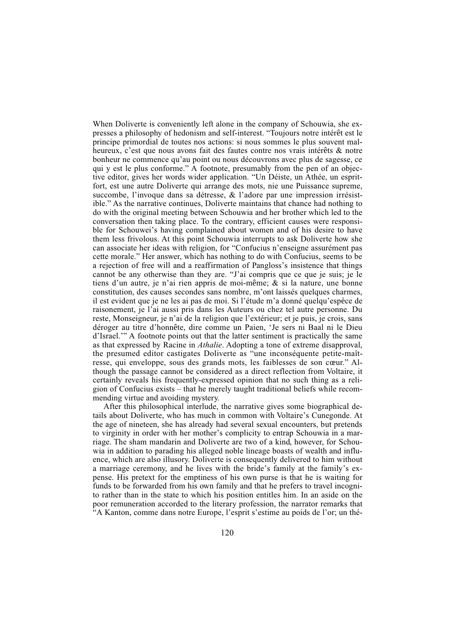When Doliverte is conveniently left alone in the company of Schouwia, she expresses a philosophy of hedonism and self-interest. Toujours notre intérêt est le principe primordial de toutes nos actions: si nous sommes le plus souvent malheureux, c'est que nous avons fait des fautes contre nos vrais intérêts & notre bonheur ne commence qu'au point ou nous découvrons avec plus de sagesse, ce qui y est le plus conforme." A footnote, presumably from the pen of an objective editor, gives her words wider application. Un Déiste, un Athée, un espritfort, est une autre Doliverte qui arrange des mots, nie une Puissance supreme, succombe, l'invoque dans sa détresse,  $\&$  l'adore par une impression irrésistible." As the narrative continues, Doliverte maintains that chance had nothing to do with the original meeting between Schouwia and her brother which led to the conversation then taking place. To the contrary, efficient causes were responsible for Schouwei's having complained about women and of his desire to have them less frivolous. At this point Schouwia interrupts to ask Doliverte how she can associate her ideas with religion, for "Confucius n'enseigne assurément pas cette morale." Her answer, which has nothing to do with Confucius, seems to be a rejection of free will and a reaffirmation of Pangloss's insistence that things cannot be any otherwise than they are. "J'ai compris que ce que je suis; je le tiens d'un autre, je n'ai rien appris de moi-même;  $\&$  si la nature, une bonne constitution, des causes secondes sans nombre, m'ont laissés quelques charmes, il est evident que je ne les ai pas de moi. Si l'étude m'a donné quelqu'espèce de raisonement, je l'ai aussi pris dans les Auteurs ou chez tel autre personne. Du reste, Monseigneur, je n'ai de la religion que l'extérieur; et je puis, je crois, sans déroger au titre d'honnête, dire comme un Paien, 'Je sers ni Baal ni le Dieu d'Israel." A footnote points out that the latter sentiment is practically the same as that expressed by Racine in Athalie. Adopting a tone of extreme disapproval, the presumed editor castigates Doliverte as "une inconséquente petite-maîtresse, qui enveloppe, sous des grands mots, les faiblesses de son cœur." Although the passage cannot be considered as a direct reflection from Voltaire, it certainly reveals his frequently-expressed opinion that no such thing as a religion of Confucius exists  $-$  that he merely taught traditional beliefs while recommending virtue and avoiding mystery.

After this philosophical interlude, the narrative gives some biographical details about Doliverte, who has much in common with Voltaire's Cunegonde. At the age of nineteen, she has already had several sexual encounters, but pretends to virginity in order with her mother's complicity to entrap Schouwia in a marriage. The sham mandarin and Doliverte are two of a kind, however, for Schouwia in addition to parading his alleged noble lineage boasts of wealth and influence, which are also illusory. Doliverte is consequently delivered to him without a marriage ceremony, and he lives with the bride's family at the family's expense. His pretext for the emptiness of his own purse is that he is waiting for funds to be forwarded from his own family and that he prefers to travel incognito rather than in the state to which his position entitles him. In an aside on the poor remuneration accorded to the literary profession, the narrator remarks that "A Kanton, comme dans notre Europe, l'esprit s'estime au poids de l'or; un thé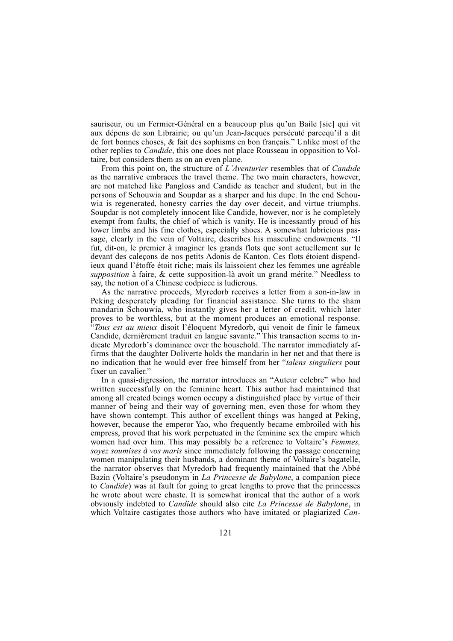sauriseur, ou un Fermier-Général en a beaucoup plus qu'un Baile [sic] qui vit aux dépens de son Librairie; ou qu'un Jean-Jacques persécuté parcequ'il a dit de fort bonnes choses,  $\&$  fait des sophisms en bon français." Unlike most of the other replies to Candide, this one does not place Rousseau in opposition to Voltaire, but considers them as on an even plane.

From this point on, the structure of L'Aventurier resembles that of *Candide* as the narrative embraces the travel theme. The two main characters, however, are not matched like Pangloss and Candide as teacher and student, but in the persons of Schouwia and Soupdar as a sharper and his dupe. In the end Schouwia is regenerated, honesty carries the day over deceit, and virtue triumphs. Soupdar is not completely innocent like Candide, however, nor is he completely exempt from faults, the chief of which is vanity. He is incessantly proud of his lower limbs and his fine clothes, especially shoes. A somewhat lubricious passage, clearly in the vein of Voltaire, describes his masculine endowments. "Il fut, dit-on, le premier à imaginer les grands flots que sont actuellement sur le devant des caleçons de nos petits Adonis de Kanton. Ces flots étoient dispendieux quand létoffe étoit riche; mais ils laissoient chez les femmes une agréable supposition à faire, & cette supposition-là avoit un grand mérite." Needless to say, the notion of a Chinese codpiece is ludicrous.

As the narrative proceeds, Myredorb receives a letter from a son-in-law in Peking desperately pleading for financial assistance. She turns to the sham mandarin Schouwia, who instantly gives her a letter of credit, which later proves to be worthless, but at the moment produces an emotional response. "Tous est au mieux disoit l'éloquent Myredorb, qui venoit de finir le fameux Candide, dernièrement traduit en langue savante." This transaction seems to indicate Myredorb's dominance over the household. The narrator immediately affirms that the daughter Doliverte holds the mandarin in her net and that there is no indication that he would ever free himself from her "*talens singuliers* pour fixer un cavalier."

In a quasi-digression, the narrator introduces an "Auteur celebre" who had written successfully on the feminine heart. This author had maintained that among all created beings women occupy a distinguished place by virtue of their manner of being and their way of governing men, even those for whom they have shown contempt. This author of excellent things was hanged at Peking, however, because the emperor Yao, who frequently became embroiled with his empress, proved that his work perpetuated in the feminine sex the empire which women had over him. This may possibly be a reference to Voltaire's Femmes, soyez soumises *à* vos maris since immediately following the passage concerning women manipulating their husbands, a dominant theme of Voltaire's bagatelle, the narrator observes that Myredorb had frequently maintained that the Abbé Bazin (Voltaire's pseudonym in La Princesse de Babylone, a companion piece to Candide) was at fault for going to great lengths to prove that the princesses he wrote about were chaste. It is somewhat ironical that the author of a work obviously indebted to Candide should also cite La Princesse de Babylone, in which Voltaire castigates those authors who have imitated or plagiarized *Can*-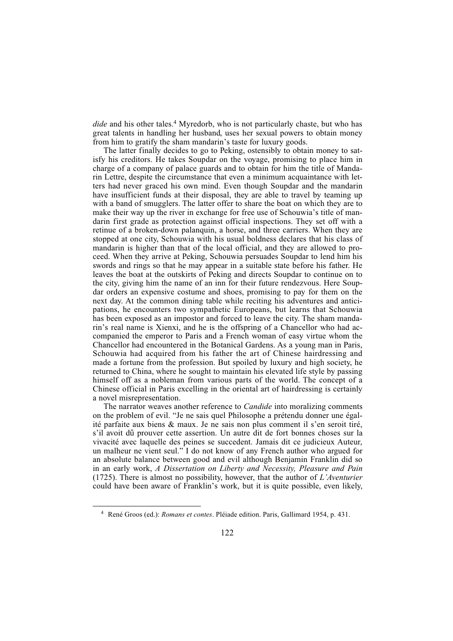dide and his other tales.<sup>4</sup> Myredorb, who is not particularly chaste, but who has great talents in handling her husband, uses her sexual powers to obtain money from him to gratify the sham mandarin's taste for luxury goods.

The latter finally decides to go to Peking, ostensibly to obtain money to satisfy his creditors. He takes Soupdar on the voyage, promising to place him in charge of a company of palace guards and to obtain for him the title of Mandarin Lettre, despite the circumstance that even a minimum acquaintance with letters had never graced his own mind. Even though Soupdar and the mandarin have insufficient funds at their disposal, they are able to travel by teaming up with a band of smugglers. The latter offer to share the boat on which they are to make their way up the river in exchange for free use of Schouwia's title of mandarin first grade as protection against official inspections. They set off with a retinue of a broken-down palanquin, a horse, and three carriers. When they are stopped at one city, Schouwia with his usual boldness declares that his class of mandarin is higher than that of the local official, and they are allowed to proceed. When they arrive at Peking, Schouwia persuades Soupdar to lend him his swords and rings so that he may appear in a suitable state before his father. He leaves the boat at the outskirts of Peking and directs Soupdar to continue on to the city, giving him the name of an inn for their future rendezvous. Here Soupdar orders an expensive costume and shoes, promising to pay for them on the next day. At the common dining table while reciting his adventures and anticipations, he encounters two sympathetic Europeans, but learns that Schouwia has been exposed as an impostor and forced to leave the city. The sham mandarin's real name is Xienxi, and he is the offspring of a Chancellor who had accompanied the emperor to Paris and a French woman of easy virtue whom the Chancellor had encountered in the Botanical Gardens. As a young man in Paris, Schouwia had acquired from his father the art of Chinese hairdressing and made a fortune from the profession. But spoiled by luxury and high society, he returned to China, where he sought to maintain his elevated life style by passing himself off as a nobleman from various parts of the world. The concept of a Chinese official in Paris excelling in the oriental art of hairdressing is certainly a novel misrepresentation.

The narrator weaves another reference to *Candide* into moralizing comments on the problem of evil. "Je ne sais quel Philosophe a prétendu donner une égalité parfaite aux biens & maux. Je ne sais non plus comment il s'en seroit tiré, sil avoit dû prouver cette assertion. Un autre dit de fort bonnes choses sur la vivacité avec laquelle des peines se succedent. Jamais dit ce judicieux Auteur, un malheur ne vient seul." I do not know of any French author who argued for an absolute balance between good and evil although Benjamin Franklin did so in an early work, A Dissertation on Liberty and Necessity, Pleasure and Pain (1725). There is almost no possibility, however, that the author of  $L'A$ venturier could have been aware of Franklin's work, but it is quite possible, even likely,

<sup>4</sup> René Groos (ed.): Romans et contes. Pléiade edition. Paris, Gallimard 1954, p. 431.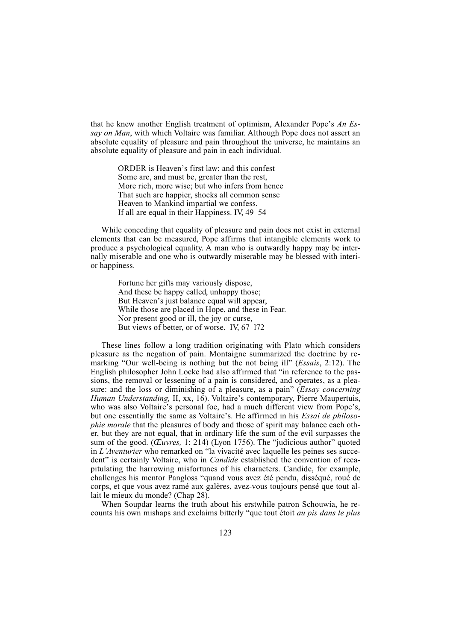that he knew another English treatment of optimism, Alexander Pope's  $An Es$ say on Man, with which Voltaire was familiar. Although Pope does not assert an absolute equality of pleasure and pain throughout the universe, he maintains an absolute equality of pleasure and pain in each individual.

ORDER is Heaven's first law; and this confest Some are, and must be, greater than the rest, More rich, more wise; but who infers from hence That such are happier, shocks all common sense Heaven to Mankind impartial we confess, If all are equal in their Happiness. IV, 49–54

While conceding that equality of pleasure and pain does not exist in external elements that can be measured, Pope affirms that intangible elements work to produce a psychological equality. A man who is outwardly happy may be internally miserable and one who is outwardly miserable may be blessed with interior happiness.

> Fortune her gifts may variously dispose, And these be happy called, unhappy those; But Heaven's just balance equal will appear, While those are placed in Hope, and these in Fear. Nor present good or ill, the joy or curse, But views of better, or of worse. IV,  $67-172$

These lines follow a long tradition originating with Plato which considers pleasure as the negation of pain. Montaigne summarized the doctrine by remarking "Our well-being is nothing but the not being ill" (*Essais,* 2:12). The English philosopher John Locke had also affirmed that "in reference to the passions, the removal or lessening of a pain is considered, and operates, as a pleasure: and the loss or diminishing of a pleasure, as a pain" (*Essay concerning* Human Understanding, II, xx, 16). Voltaire's contemporary, Pierre Maupertuis, who was also Voltaire's personal foe, had a much different view from Pope's, but one essentially the same as Voltaire's. He affirmed in his Essai de philosophie morale that the pleasures of body and those of spirit may balance each other, but they are not equal, that in ordinary life the sum of the evil surpasses the sum of the good. ( $Euvres$ , 1: 214) (Lyon 1756). The "judicious author" quoted in  $L$ 'Aventurier who remarked on "la vivacité avec laquelle les peines ses succedent" is certainly Voltaire, who in *Candide* established the convention of recapitulating the harrowing misfortunes of his characters. Candide, for example, challenges his mentor Pangloss "quand vous avez été pendu, disséqué, roué de corps, et que vous avez ramé aux galères, avez-vous toujours pensé que tout allait le mieux du monde? (Chap 28).

When Soupdar learns the truth about his erstwhile patron Schouwia, he recounts his own mishaps and exclaims bitterly "que tout étoit *au pis dans le plus*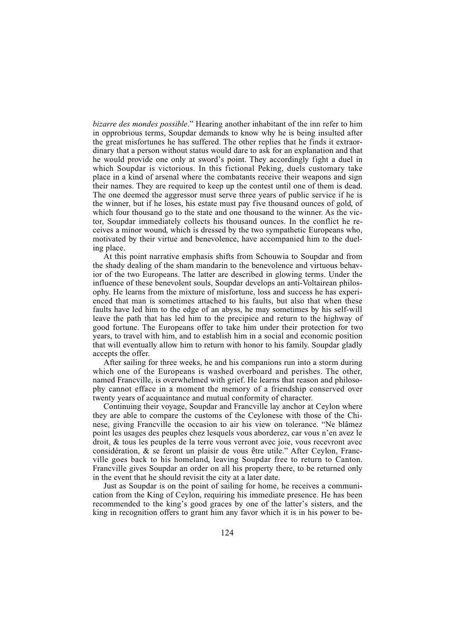bizarre des mondes possible." Hearing another inhabitant of the inn refer to him in opprobrious terms, Soupdar demands to know why he is being insulted after the great misfortunes he has suffered. The other replies that he finds it extraordinary that a person without status would dare to ask for an explanation and that he would provide one only at sword's point. They accordingly fight a duel in which Soupdar is victorious. In this fictional Peking, duels customary take place in a kind of arsenal where the combatants receive their weapons and sign their names. They are required to keep up the contest until one of them is dead. The one deemed the aggressor must serve three years of public service if he is the winner, but if he loses, his estate must pay five thousand ounces of gold, of which four thousand go to the state and one thousand to the winner. As the victor, Soupdar immediately collects his thousand ounces. In the conflict he receives a minor wound, which is dressed by the two sympathetic Europeans who, motivated by their virtue and benevolence, have accompanied him to the dueling place.

At this point narrative emphasis shifts from Schouwia to Soupdar and from the shady dealing of the sham mandarin to the benevolence and virtuous behavior of the two Europeans. The latter are described in glowing terms. Under the influence of these benevolent souls, Soupdar develops an anti-Voltairean philosophy. He learns from the mixture of misfortune, loss and success he has experienced that man is sometimes attached to his faults, but also that when these faults have led him to the edge of an abyss, he may sometimes by his self-will leave the path that has led him to the precipice and return to the highway of good fortune. The Europeans offer to take him under their protection for two years, to travel with him, and to establish him in a social and economic position that will eventually allow him to return with honor to his family. Soupdar gladly accepts the offer.

After sailing for three weeks, he and his companions run into a storm during which one of the Europeans is washed overboard and perishes. The other, named Francville, is overwhelmed with grief. He learns that reason and philosophy cannot efface in a moment the memory of a friendship conserved over twenty years of acquaintance and mutual conformity of character.

Continuing their voyage, Soupdar and Francville lay anchor at Ceylon where they are able to compare the customs of the Ceylonese with those of the Chinese, giving Francville the occasion to air his view on tolerance. "Ne blâmez point les usages des peuples chez lesquels vous aborderez, car vous n'en avez le droit, & tous les peuples de la terre vous verront avec joie, vous recevront avec considération, & se feront un plaisir de vous être utile." After Ceylon, Francville goes back to his homeland, leaving Soupdar free to return to Canton. Francville gives Soupdar an order on all his property there, to be returned only in the event that he should revisit the city at a later date.

Just as Soupdar is on the point of sailing for home, he receives a communication from the King of Ceylon, requiring his immediate presence. He has been recommended to the king's good graces by one of the latter's sisters, and the king in recognition offers to grant him any favor which it is in his power to be